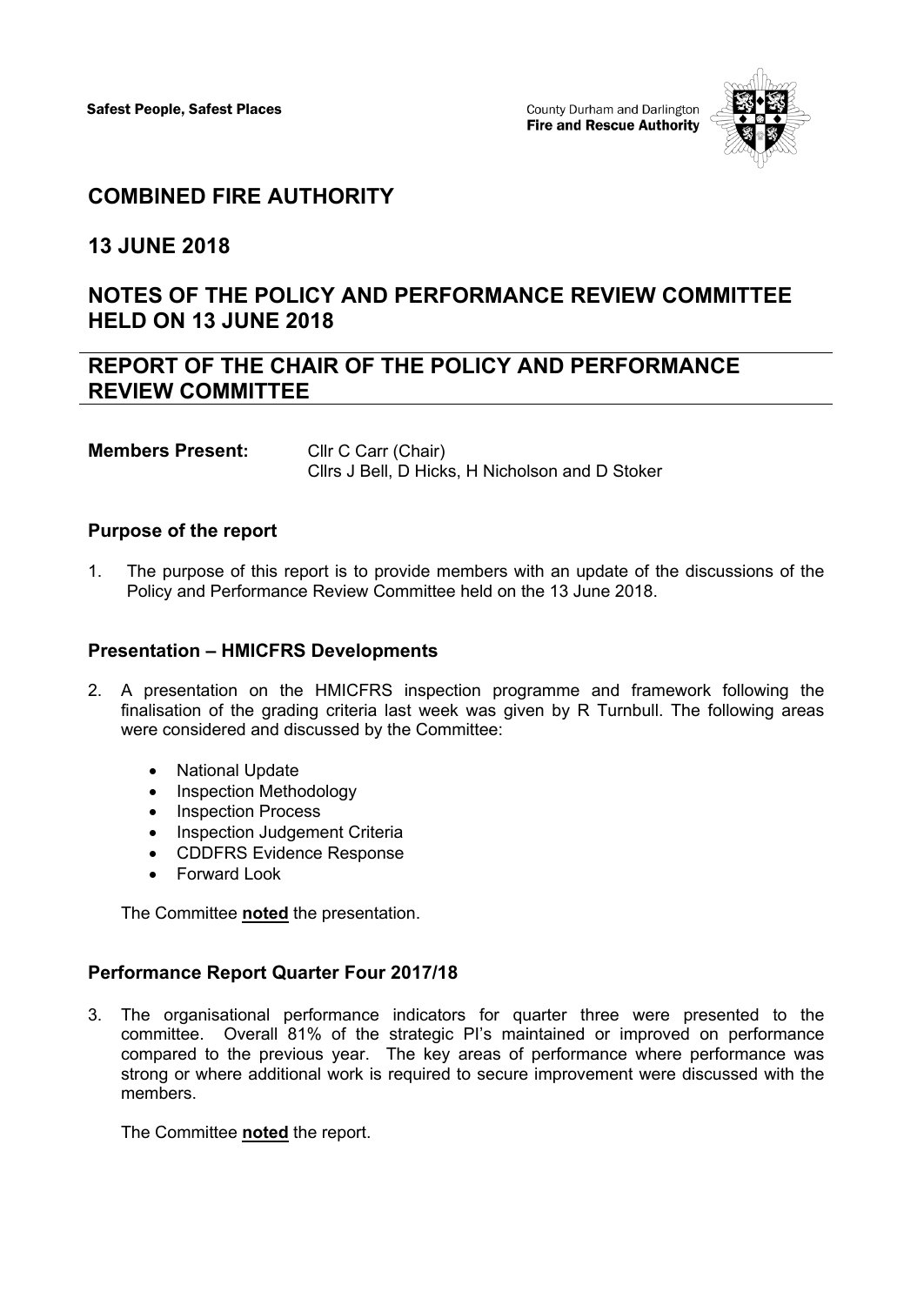

## **COMBINED FIRE AUTHORITY**

**13 JUNE 2018**

# **NOTES OF THE POLICY AND PERFORMANCE REVIEW COMMITTEE HELD ON 13 JUNE 2018**

## **REPORT OF THE CHAIR OF THE POLICY AND PERFORMANCE REVIEW COMMITTEE**

**Members Present:** Cllr C Carr (Chair) Cllrs J Bell, D Hicks, H Nicholson and D Stoker

#### **Purpose of the report**

1. The purpose of this report is to provide members with an update of the discussions of the Policy and Performance Review Committee held on the 13 June 2018.

#### **Presentation – HMICFRS Developments**

- 2. A presentation on the HMICFRS inspection programme and framework following the finalisation of the grading criteria last week was given by R Turnbull. The following areas were considered and discussed by the Committee:
	- National Update
	- Inspection Methodology
	- Inspection Process
	- Inspection Judgement Criteria
	- CDDFRS Evidence Response
	- Forward Look

The Committee **noted** the presentation.

#### **Performance Report Quarter Four 2017/18**

3. The organisational performance indicators for quarter three were presented to the committee. Overall 81% of the strategic PI's maintained or improved on performance compared to the previous year. The key areas of performance where performance was strong or where additional work is required to secure improvement were discussed with the members.

The Committee **noted** the report.